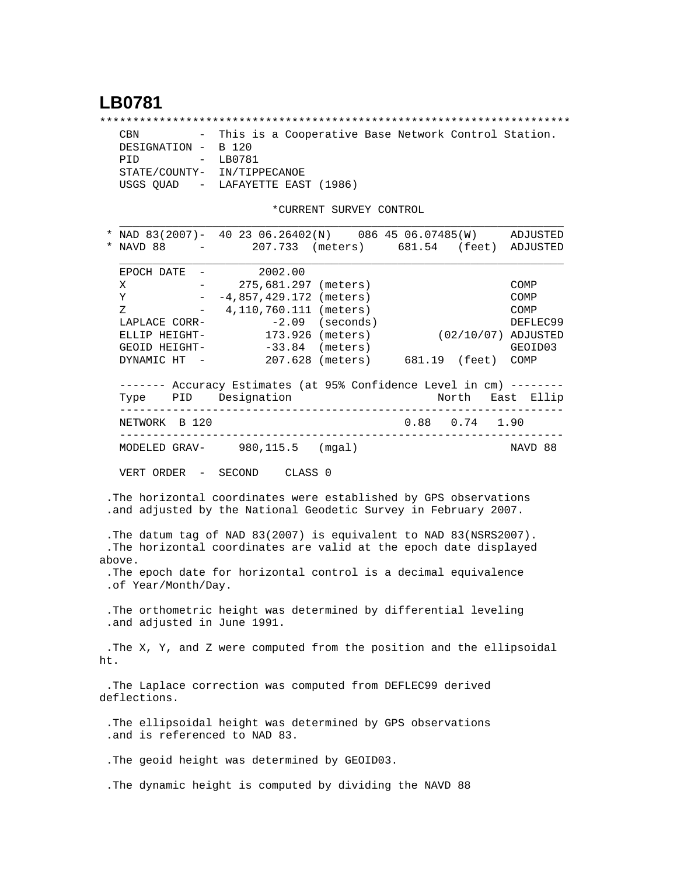## **LB0781**

\*\*\*\*\*\*\*\*\*\*\*\*\*\*\*\*\*\*\*\*\*\*\*\*\*\*\*\*\*\*\*\*\*\*\*\*\*\*\*\*\*\*\*\*\*\*\*\*\*\*\*\*\*\*\*\*\*\*\*\*\*\*\*\*\*\*\*\*\*\*\* CBN - This is a Cooperative Base Network Control Station. DESIGNATION - B 120 PID - LB0781 STATE/COUNTY- IN/TIPPECANOE USGS QUAD - LAFAYETTE EAST (1986)

\*CURRENT SURVEY CONTROL

|     | NAD 83(2007)- 40 23 06.26402(N) 086 45 06.07485(W)                         |               |                    |                                    |                     | ADJUSTED    |
|-----|----------------------------------------------------------------------------|---------------|--------------------|------------------------------------|---------------------|-------------|
|     | NAVD 88                                                                    |               |                    | - 207.733 (meters) 681.54 (feet)   |                     | ADJUSTED    |
|     |                                                                            |               |                    |                                    |                     |             |
|     | EPOCH DATE $-2002.00$                                                      |               |                    |                                    |                     |             |
|     | X                                                                          | $\frac{1}{2}$ |                    | 275,681.297 (meters)               |                     | COMP        |
|     | Y                                                                          |               |                    | $-4,857,429.172$ (meters)          |                     | <b>COMP</b> |
|     | Ζ<br>$  \,$                                                                |               |                    | 4,110,760.111 (meters)             |                     | COMP        |
|     | LAPLACE CORR-                                                              |               |                    | $-2.09$ (seconds)                  |                     | DEFLEC99    |
|     | ELLIP HEIGHT-                                                              |               |                    | 173.926 (meters)                   | (02/10/07) ADJUSTED |             |
|     | GEOID HEIGHT- -33.84 (meters)                                              |               |                    |                                    |                     | GEOID03     |
|     | DYNAMIC HT - 207.628 (meters) 681.19 (feet) COMP                           |               |                    |                                    |                     |             |
|     | ------- Accuracy Estimates (at 95% Confidence Level in cm) -------         |               |                    |                                    |                     |             |
|     | Type PID Designation<br>___________                                        |               |                    | __________________________________ | North East Ellip    |             |
|     | NETWORK B 120                                                              |               |                    |                                    | 0.88 0.74 1.90      |             |
|     | MODELED GRAV- 980, 115.5 (mgal)                                            |               |                    |                                    |                     | NAVD 88     |
|     | VERT ORDER - SECOND                                                        |               | CLASS <sub>0</sub> |                                    |                     |             |
|     |                                                                            |               |                    |                                    |                     |             |
|     | .The horizontal coordinates were established by GPS observations           |               |                    |                                    |                     |             |
|     | .and adjusted by the National Geodetic Survey in February 2007.            |               |                    |                                    |                     |             |
|     |                                                                            |               |                    |                                    |                     |             |
|     | . The datum tag of NAD 83(2007) is equivalent to NAD 83(NSRS2007).         |               |                    |                                    |                     |             |
|     | .The horizontal coordinates are valid at the epoch date displayed          |               |                    |                                    |                     |             |
|     | above.<br>. The epoch date for horizontal control is a decimal equivalence |               |                    |                                    |                     |             |
|     | .of Year/Month/Day.                                                        |               |                    |                                    |                     |             |
|     |                                                                            |               |                    |                                    |                     |             |
|     | . The orthometric height was determined by differential leveling           |               |                    |                                    |                     |             |
|     | .and adjusted in June 1991.                                                |               |                    |                                    |                     |             |
|     | .The X, Y, and Z were computed from the position and the ellipsoidal       |               |                    |                                    |                     |             |
| ht. |                                                                            |               |                    |                                    |                     |             |
|     |                                                                            |               |                    |                                    |                     |             |
|     | .The Laplace correction was computed from DEFLEC99 derived                 |               |                    |                                    |                     |             |
|     | deflections.                                                               |               |                    |                                    |                     |             |
|     |                                                                            |               |                    |                                    |                     |             |
|     | . The ellipsoidal height was determined by GPS observations                |               |                    |                                    |                     |             |
|     | .and is referenced to NAD 83.                                              |               |                    |                                    |                     |             |
|     |                                                                            |               |                    |                                    |                     |             |
|     | . The geoid height was determined by GEOID03.                              |               |                    |                                    |                     |             |
|     | . The dynamic height is computed by dividing the NAVD 88                   |               |                    |                                    |                     |             |
|     |                                                                            |               |                    |                                    |                     |             |
|     |                                                                            |               |                    |                                    |                     |             |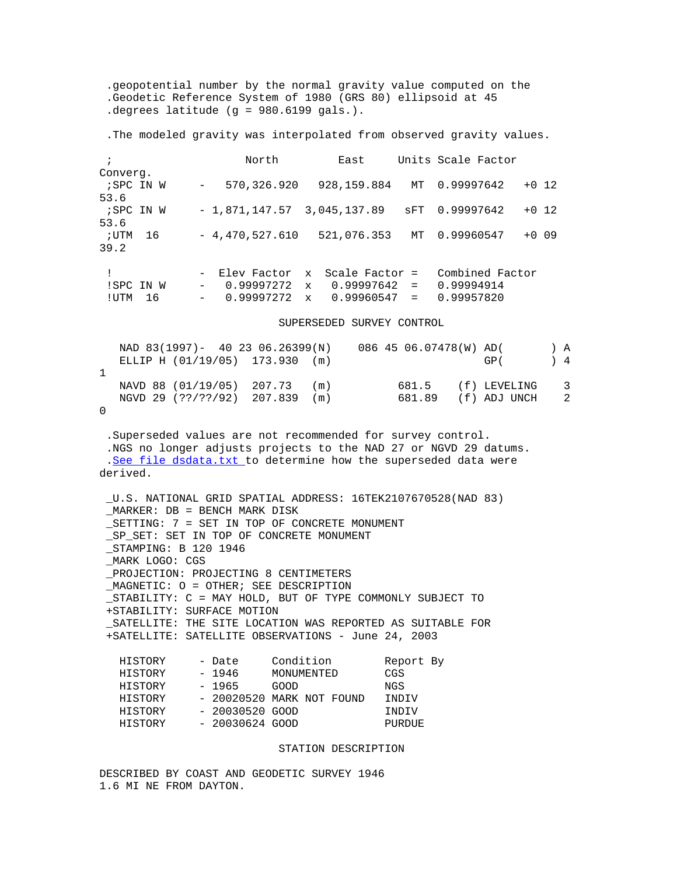.geopotential number by the normal gravity value computed on the .Geodetic Reference System of 1980 (GRS 80) ellipsoid at 45 .degrees latitude (g = 980.6199 gals.).

.The modeled gravity was interpolated from observed gravity values.

| $\ddot{i}$        |    |                 | North                        |              | East             |          | Units Scale Factor |         |  |
|-------------------|----|-----------------|------------------------------|--------------|------------------|----------|--------------------|---------|--|
| Converg.          |    |                 |                              |              |                  |          |                    |         |  |
| ;SPC IN W<br>53.6 |    | $\sim$ 10 $\pm$ | 570,326.920                  |              | 928,159.884      | MT       | 0.99997642         | $+0$ 12 |  |
| ;SPC IN W         |    |                 | $-1,871,147.57$ 3,045,137.89 |              |                  | SFT      | 0.99997642         | $+0$ 12 |  |
| 53.6              |    |                 |                              |              |                  |          |                    |         |  |
| ; UTM<br>39.2     | 16 |                 | $-4,470,527.610$             |              | 521,076.353      | MT       | 0.99960547         | $+0.09$ |  |
|                   |    |                 | - Elev Factor                |              | x Scale Factor = |          | Combined Factor    |         |  |
| !SPC IN W         |    | $\sim$          | 0.99997272                   | $\mathbf{x}$ | $0.99997642 =$   |          | 0.99994914         |         |  |
| ! UTM             | 16 | $\sim$          | 0.99997272                   | $\mathbf{x}$ | 0.99960547       | $\equiv$ | 0.99957820         |         |  |

SUPERSEDED SURVEY CONTROL

|  | NAD 83(1997)- 40 23 06.26399(N)<br>ELLIP H (01/19/05) 173.930 (m) |  | 086 45 06.07478(W) AD( | GP (                                 | $\rightarrow$ 4 | A              |
|--|-------------------------------------------------------------------|--|------------------------|--------------------------------------|-----------------|----------------|
|  | NAVD 88 (01/19/05) 207.73 (m)<br>NGVD 29 (??/??/92) 207.839 (m)   |  | 681.89                 | 681.5 (f) LEVELING 3<br>(f) ADJ UNCH |                 | $\overline{2}$ |

0

 .Superseded values are not recommended for survey control. .NGS no longer adjusts projects to the NAD 27 or NGVD 29 datums. .[See file dsdata.txt](http://www.ngs.noaa.gov/cgi-bin/ds_lookup.prl?Item=HOW_SUP_DET) to determine how the superseded data were derived.

 \_U.S. NATIONAL GRID SPATIAL ADDRESS: 16TEK2107670528(NAD 83) \_MARKER: DB = BENCH MARK DISK \_SETTING: 7 = SET IN TOP OF CONCRETE MONUMENT \_SP\_SET: SET IN TOP OF CONCRETE MONUMENT \_STAMPING: B 120 1946 \_MARK LOGO: CGS \_PROJECTION: PROJECTING 8 CENTIMETERS \_MAGNETIC: O = OTHER; SEE DESCRIPTION \_STABILITY: C = MAY HOLD, BUT OF TYPE COMMONLY SUBJECT TO +STABILITY: SURFACE MOTION \_SATELLITE: THE SITE LOCATION WAS REPORTED AS SUITABLE FOR +SATELLITE: SATELLITE OBSERVATIONS - June 24, 2003 HISTORY - Date Condition Report By<br>HISTORY - 1946 MONUMENTED CGS  $MONTIMENTERD$ 

| 11 T D T OIL T | ᆠノエリ            | uuuuunitu tel              | しょしさんす |
|----------------|-----------------|----------------------------|--------|
| HISTORY        | - 1965          | GOOD                       | NGS    |
| HISTORY        |                 | $-20020520$ MARK NOT FOUND | INDIV  |
| HISTORY        | - 20030520 GOOD |                            | INDIV  |
| HISTORY        | - 20030624 GOOD |                            | PURDUE |
|                |                 |                            |        |

## STATION DESCRIPTION

DESCRIBED BY COAST AND GEODETIC SURVEY 1946 1.6 MI NE FROM DAYTON.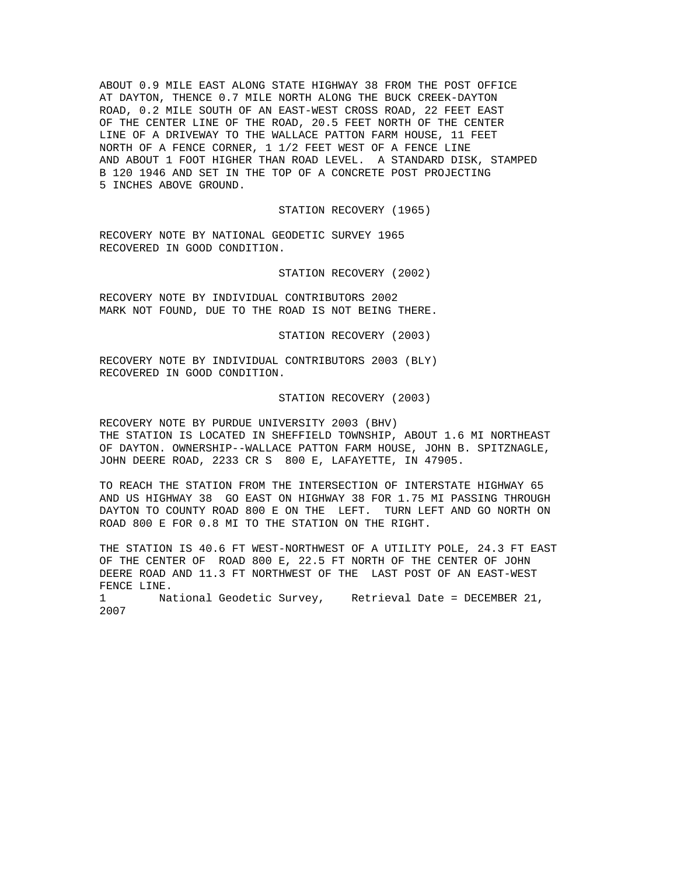ABOUT 0.9 MILE EAST ALONG STATE HIGHWAY 38 FROM THE POST OFFICE AT DAYTON, THENCE 0.7 MILE NORTH ALONG THE BUCK CREEK-DAYTON ROAD, 0.2 MILE SOUTH OF AN EAST-WEST CROSS ROAD, 22 FEET EAST OF THE CENTER LINE OF THE ROAD, 20.5 FEET NORTH OF THE CENTER LINE OF A DRIVEWAY TO THE WALLACE PATTON FARM HOUSE, 11 FEET NORTH OF A FENCE CORNER, 1 1/2 FEET WEST OF A FENCE LINE AND ABOUT 1 FOOT HIGHER THAN ROAD LEVEL. A STANDARD DISK, STAMPED B 120 1946 AND SET IN THE TOP OF A CONCRETE POST PROJECTING 5 INCHES ABOVE GROUND.

## STATION RECOVERY (1965)

RECOVERY NOTE BY NATIONAL GEODETIC SURVEY 1965 RECOVERED IN GOOD CONDITION.

STATION RECOVERY (2002)

RECOVERY NOTE BY INDIVIDUAL CONTRIBUTORS 2002 MARK NOT FOUND, DUE TO THE ROAD IS NOT BEING THERE.

STATION RECOVERY (2003)

RECOVERY NOTE BY INDIVIDUAL CONTRIBUTORS 2003 (BLY) RECOVERED IN GOOD CONDITION.

## STATION RECOVERY (2003)

RECOVERY NOTE BY PURDUE UNIVERSITY 2003 (BHV) THE STATION IS LOCATED IN SHEFFIELD TOWNSHIP, ABOUT 1.6 MI NORTHEAST OF DAYTON. OWNERSHIP--WALLACE PATTON FARM HOUSE, JOHN B. SPITZNAGLE, JOHN DEERE ROAD, 2233 CR S 800 E, LAFAYETTE, IN 47905.

TO REACH THE STATION FROM THE INTERSECTION OF INTERSTATE HIGHWAY 65 AND US HIGHWAY 38 GO EAST ON HIGHWAY 38 FOR 1.75 MI PASSING THROUGH DAYTON TO COUNTY ROAD 800 E ON THE LEFT. TURN LEFT AND GO NORTH ON ROAD 800 E FOR 0.8 MI TO THE STATION ON THE RIGHT.

THE STATION IS 40.6 FT WEST-NORTHWEST OF A UTILITY POLE, 24.3 FT EAST OF THE CENTER OF ROAD 800 E, 22.5 FT NORTH OF THE CENTER OF JOHN DEERE ROAD AND 11.3 FT NORTHWEST OF THE LAST POST OF AN EAST-WEST FENCE LINE.

1 National Geodetic Survey, Retrieval Date = DECEMBER 21, 2007